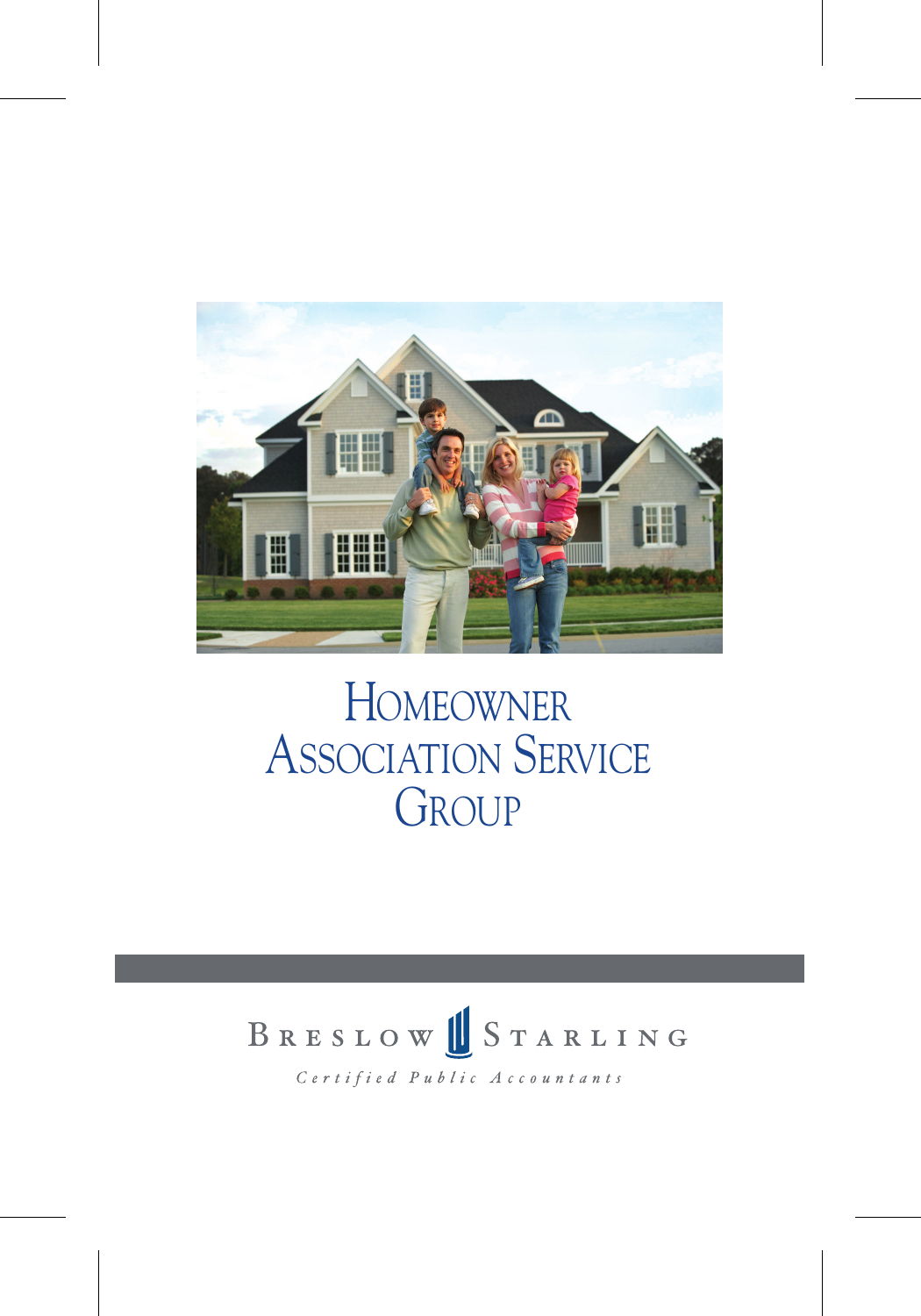

## HOMEOWNER ASSOCIATION SERVICE **GROUP**



Certified Public Accountants